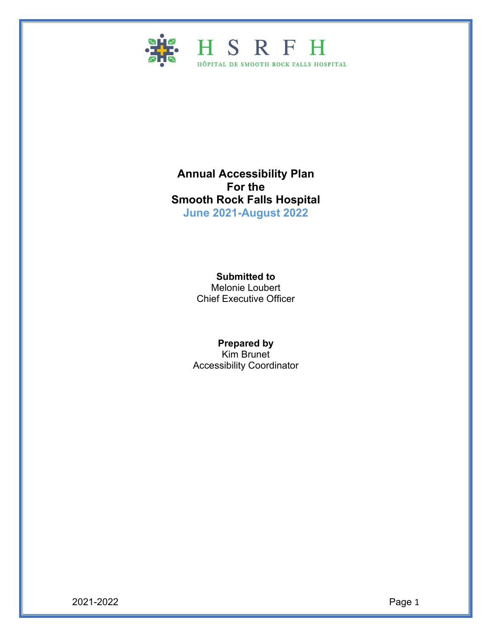

**Annual Accessibility Plan For the Smooth Rock Falls Hospital June 2021-August 2022**

### **Submitted to**

Melonie Loubert Chief Executive Officer

**Prepared by** Kim Brunet Accessibility Coordinator

2021-2022 Page 1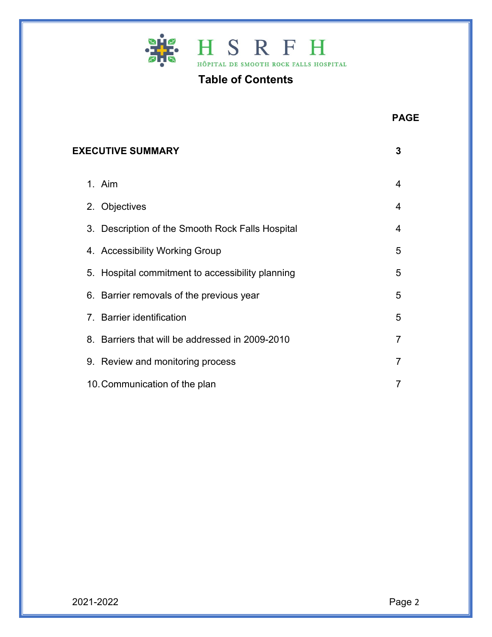

HSRFH HÔPITAL DE SMOOTH ROCK FALLS HOSPITAL

# **Table of Contents**

## **PAGE**

| <b>EXECUTIVE SUMMARY</b> |  |                                                  |                |  |  |
|--------------------------|--|--------------------------------------------------|----------------|--|--|
|                          |  | 1. Aim                                           | $\overline{4}$ |  |  |
|                          |  | 2. Objectives                                    | 4              |  |  |
|                          |  | 3. Description of the Smooth Rock Falls Hospital | 4              |  |  |
|                          |  | 4. Accessibility Working Group                   | 5              |  |  |
|                          |  | 5. Hospital commitment to accessibility planning | 5              |  |  |
|                          |  | 6. Barrier removals of the previous year         | 5              |  |  |
|                          |  | 7. Barrier identification                        | 5              |  |  |
|                          |  | 8. Barriers that will be addressed in 2009-2010  | $\overline{7}$ |  |  |
|                          |  | 9. Review and monitoring process                 | $\overline{7}$ |  |  |
|                          |  | 10. Communication of the plan                    | 7              |  |  |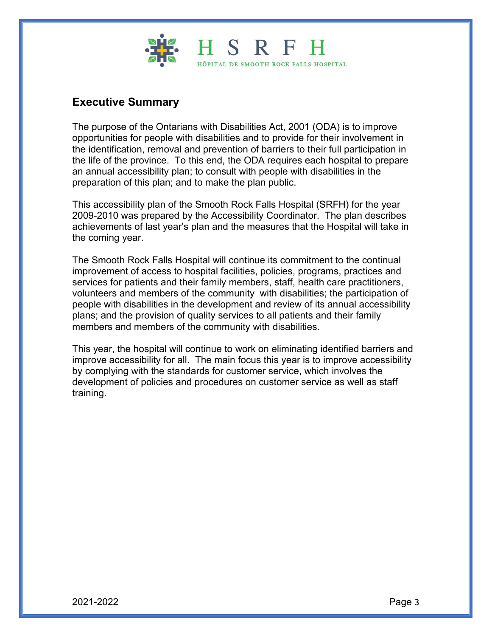

# **Executive Summary**

The purpose of the Ontarians with Disabilities Act, 2001 (ODA) is to improve opportunities for people with disabilities and to provide for their involvement in the identification, removal and prevention of barriers to their full participation in the life of the province. To this end, the ODA requires each hospital to prepare an annual accessibility plan; to consult with people with disabilities in the preparation of this plan; and to make the plan public.

This accessibility plan of the Smooth Rock Falls Hospital (SRFH) for the year 2009-2010 was prepared by the Accessibility Coordinator. The plan describes achievements of last year's plan and the measures that the Hospital will take in the coming year.

The Smooth Rock Falls Hospital will continue its commitment to the continual improvement of access to hospital facilities, policies, programs, practices and services for patients and their family members, staff, health care practitioners, volunteers and members of the community with disabilities; the participation of people with disabilities in the development and review of its annual accessibility plans; and the provision of quality services to all patients and their family members and members of the community with disabilities.

This year, the hospital will continue to work on eliminating identified barriers and improve accessibility for all. The main focus this year is to improve accessibility by complying with the standards for customer service, which involves the development of policies and procedures on customer service as well as staff training.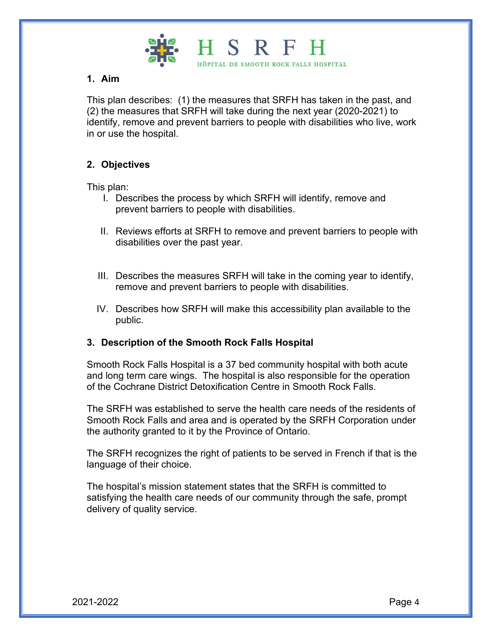

#### **1. Aim**

This plan describes: (1) the measures that SRFH has taken in the past, and (2) the measures that SRFH will take during the next year (2020-2021) to identify, remove and prevent barriers to people with disabilities who live, work in or use the hospital.

#### **2. Objectives**

This plan:

- I. Describes the process by which SRFH will identify, remove and prevent barriers to people with disabilities.
- II. Reviews efforts at SRFH to remove and prevent barriers to people with disabilities over the past year.
- III. Describes the measures SRFH will take in the coming year to identify, remove and prevent barriers to people with disabilities.
- IV. Describes how SRFH will make this accessibility plan available to the public.

#### **3. Description of the Smooth Rock Falls Hospital**

Smooth Rock Falls Hospital is a 37 bed community hospital with both acute and long term care wings. The hospital is also responsible for the operation of the Cochrane District Detoxification Centre in Smooth Rock Falls.

The SRFH was established to serve the health care needs of the residents of Smooth Rock Falls and area and is operated by the SRFH Corporation under the authority granted to it by the Province of Ontario.

The SRFH recognizes the right of patients to be served in French if that is the language of their choice.

The hospital's mission statement states that the SRFH is committed to satisfying the health care needs of our community through the safe, prompt delivery of quality service.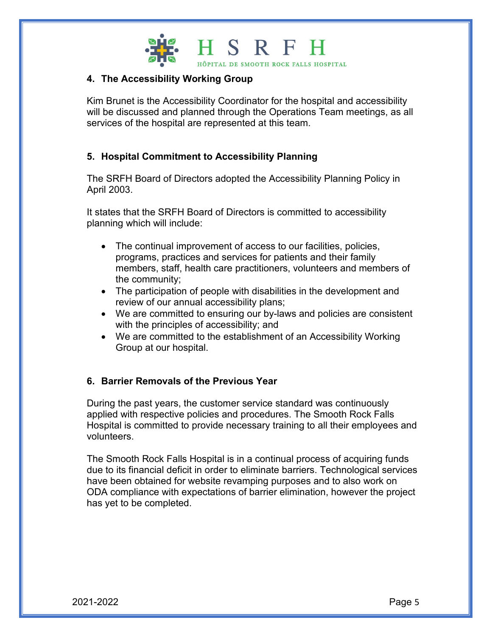

#### **4. The Accessibility Working Group**

Kim Brunet is the Accessibility Coordinator for the hospital and accessibility will be discussed and planned through the Operations Team meetings, as all services of the hospital are represented at this team.

#### **5. Hospital Commitment to Accessibility Planning**

The SRFH Board of Directors adopted the Accessibility Planning Policy in April 2003.

It states that the SRFH Board of Directors is committed to accessibility planning which will include:

- The continual improvement of access to our facilities, policies, programs, practices and services for patients and their family members, staff, health care practitioners, volunteers and members of the community;
- The participation of people with disabilities in the development and review of our annual accessibility plans;
- We are committed to ensuring our by-laws and policies are consistent with the principles of accessibility; and
- We are committed to the establishment of an Accessibility Working Group at our hospital.

#### **6. Barrier Removals of the Previous Year**

During the past years, the customer service standard was continuously applied with respective policies and procedures. The Smooth Rock Falls Hospital is committed to provide necessary training to all their employees and volunteers.

The Smooth Rock Falls Hospital is in a continual process of acquiring funds due to its financial deficit in order to eliminate barriers. Technological services have been obtained for website revamping purposes and to also work on ODA compliance with expectations of barrier elimination, however the project has yet to be completed.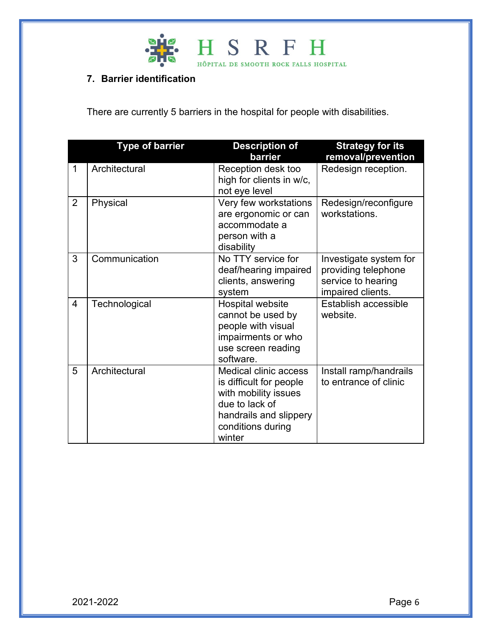

HSRFH HÔPITAL DE SMOOTH ROCK FALLS HOSPITAL

# **7. Barrier identification**

There are currently 5 barriers in the hospital for people with disabilities.

|                | <b>Type of barrier</b> | <b>Description of</b><br>barrier                                                                                                                           | <b>Strategy for its</b><br>removal/prevention                                            |
|----------------|------------------------|------------------------------------------------------------------------------------------------------------------------------------------------------------|------------------------------------------------------------------------------------------|
| $\mathbf 1$    | Architectural          | Reception desk too<br>high for clients in w/c,<br>not eye level                                                                                            | Redesign reception.                                                                      |
| 2              | Physical               | Very few workstations<br>are ergonomic or can<br>accommodate a<br>person with a<br>disability                                                              | Redesign/reconfigure<br>workstations.                                                    |
| 3              | Communication          | No TTY service for<br>deaf/hearing impaired<br>clients, answering<br>system                                                                                | Investigate system for<br>providing telephone<br>service to hearing<br>impaired clients. |
| $\overline{4}$ | Technological          | <b>Hospital website</b><br>cannot be used by<br>people with visual<br>impairments or who<br>use screen reading<br>software.                                | Establish accessible<br>website.                                                         |
| 5              | Architectural          | <b>Medical clinic access</b><br>is difficult for people<br>with mobility issues<br>due to lack of<br>handrails and slippery<br>conditions during<br>winter | Install ramp/handrails<br>to entrance of clinic                                          |